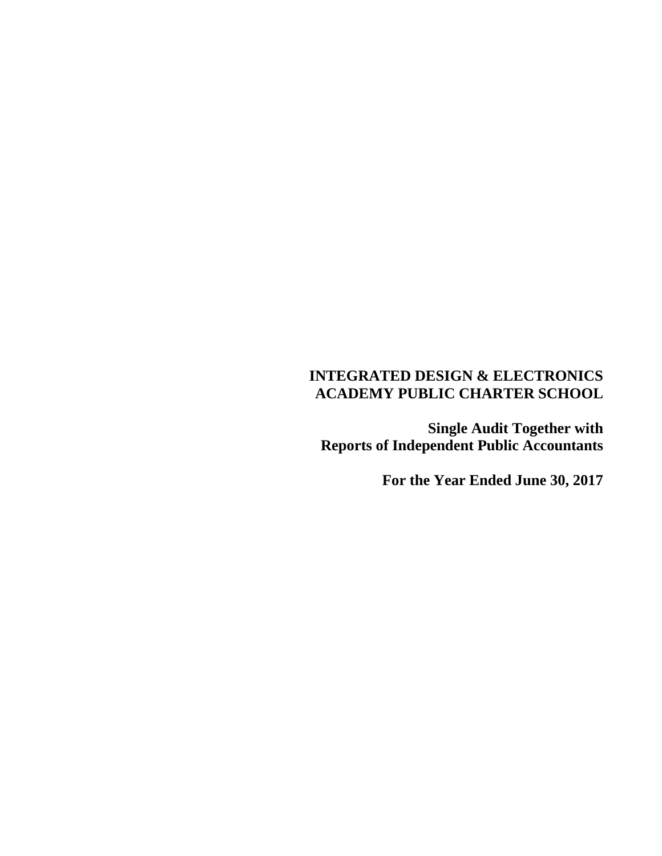**Single Audit Together with Reports of Independent Public Accountants**

**For the Year Ended June 30, 2017**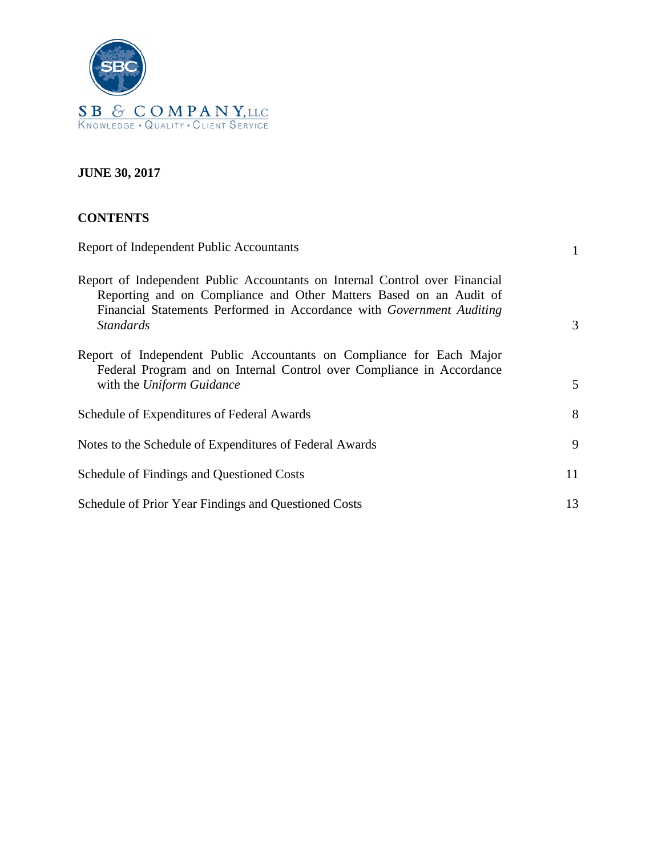

## **JUNE 30, 2017**

## **CONTENTS**

| Report of Independent Public Accountants                                                                                                                                                                                                       | 1  |
|------------------------------------------------------------------------------------------------------------------------------------------------------------------------------------------------------------------------------------------------|----|
| Report of Independent Public Accountants on Internal Control over Financial<br>Reporting and on Compliance and Other Matters Based on an Audit of<br>Financial Statements Performed in Accordance with Government Auditing<br><i>Standards</i> | 3  |
| Report of Independent Public Accountants on Compliance for Each Major<br>Federal Program and on Internal Control over Compliance in Accordance<br>with the Uniform Guidance                                                                    | 5  |
| Schedule of Expenditures of Federal Awards                                                                                                                                                                                                     | 8  |
| Notes to the Schedule of Expenditures of Federal Awards                                                                                                                                                                                        | 9  |
| Schedule of Findings and Questioned Costs                                                                                                                                                                                                      | 11 |
| Schedule of Prior Year Findings and Questioned Costs                                                                                                                                                                                           | 13 |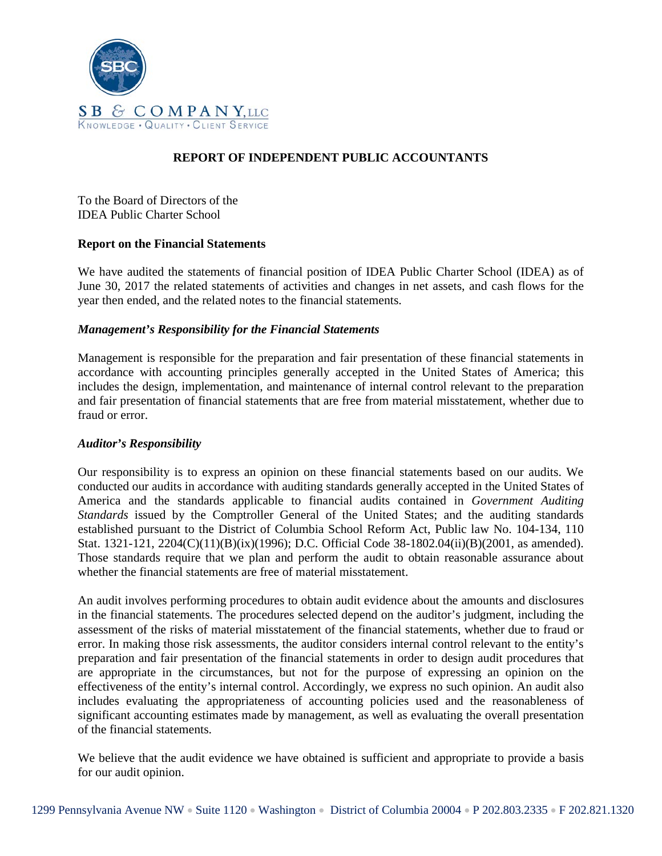

### **REPORT OF INDEPENDENT PUBLIC ACCOUNTANTS**

To the Board of Directors of the IDEA Public Charter School

#### **Report on the Financial Statements**

We have audited the statements of financial position of IDEA Public Charter School (IDEA) as of June 30, 2017 the related statements of activities and changes in net assets, and cash flows for the year then ended, and the related notes to the financial statements.

#### *Management's Responsibility for the Financial Statements*

Management is responsible for the preparation and fair presentation of these financial statements in accordance with accounting principles generally accepted in the United States of America; this includes the design, implementation, and maintenance of internal control relevant to the preparation and fair presentation of financial statements that are free from material misstatement, whether due to fraud or error.

#### *Auditor's Responsibility*

Our responsibility is to express an opinion on these financial statements based on our audits. We conducted our audits in accordance with auditing standards generally accepted in the United States of America and the standards applicable to financial audits contained in *Government Auditing Standards* issued by the Comptroller General of the United States; and the auditing standards established pursuant to the District of Columbia School Reform Act, Public law No. 104-134, 110 Stat. 1321-121, 2204(C)(11)(B)(ix)(1996); D.C. Official Code 38-1802.04(ii)(B)(2001, as amended). Those standards require that we plan and perform the audit to obtain reasonable assurance about whether the financial statements are free of material misstatement.

An audit involves performing procedures to obtain audit evidence about the amounts and disclosures in the financial statements. The procedures selected depend on the auditor's judgment, including the assessment of the risks of material misstatement of the financial statements, whether due to fraud or error. In making those risk assessments, the auditor considers internal control relevant to the entity's preparation and fair presentation of the financial statements in order to design audit procedures that are appropriate in the circumstances, but not for the purpose of expressing an opinion on the effectiveness of the entity's internal control. Accordingly, we express no such opinion. An audit also includes evaluating the appropriateness of accounting policies used and the reasonableness of significant accounting estimates made by management, as well as evaluating the overall presentation of the financial statements.

We believe that the audit evidence we have obtained is sufficient and appropriate to provide a basis for our audit opinion.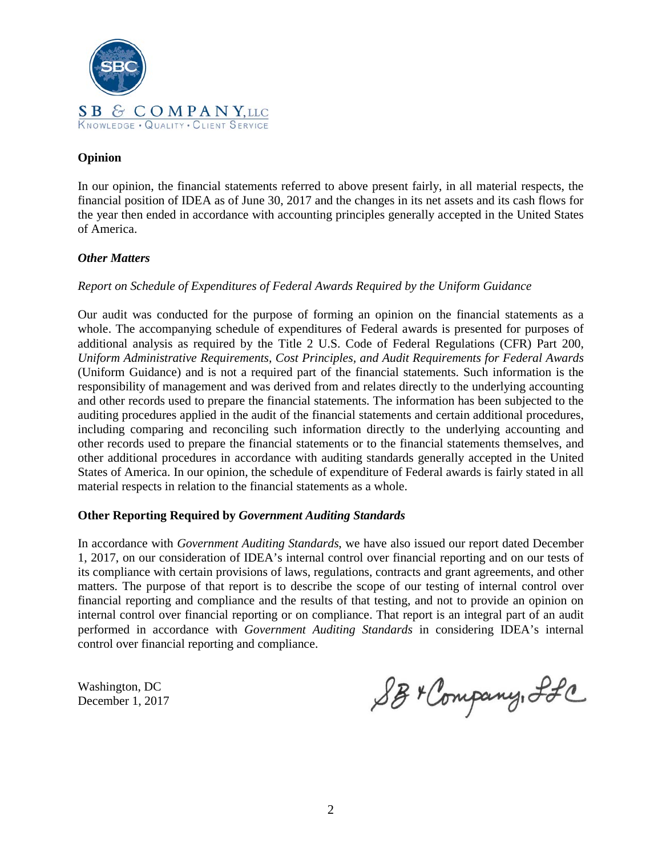

### **Opinion**

In our opinion, the financial statements referred to above present fairly, in all material respects, the financial position of IDEA as of June 30, 2017 and the changes in its net assets and its cash flows for the year then ended in accordance with accounting principles generally accepted in the United States of America.

#### *Other Matters*

#### *Report on Schedule of Expenditures of Federal Awards Required by the Uniform Guidance*

Our audit was conducted for the purpose of forming an opinion on the financial statements as a whole. The accompanying schedule of expenditures of Federal awards is presented for purposes of additional analysis as required by the Title 2 U.S. Code of Federal Regulations (CFR) Part 200, *Uniform Administrative Requirements, Cost Principles, and Audit Requirements for Federal Awards*  (Uniform Guidance) and is not a required part of the financial statements. Such information is the responsibility of management and was derived from and relates directly to the underlying accounting and other records used to prepare the financial statements. The information has been subjected to the auditing procedures applied in the audit of the financial statements and certain additional procedures, including comparing and reconciling such information directly to the underlying accounting and other records used to prepare the financial statements or to the financial statements themselves, and other additional procedures in accordance with auditing standards generally accepted in the United States of America. In our opinion, the schedule of expenditure of Federal awards is fairly stated in all material respects in relation to the financial statements as a whole.

#### **Other Reporting Required by** *Government Auditing Standards*

In accordance with *Government Auditing Standards*, we have also issued our report dated December 1, 2017, on our consideration of IDEA's internal control over financial reporting and on our tests of its compliance with certain provisions of laws, regulations, contracts and grant agreements, and other matters. The purpose of that report is to describe the scope of our testing of internal control over financial reporting and compliance and the results of that testing, and not to provide an opinion on internal control over financial reporting or on compliance. That report is an integral part of an audit performed in accordance with *Government Auditing Standards* in considering IDEA's internal control over financial reporting and compliance.

Washington, DC December 1, 2017

SB+ Company, Ifc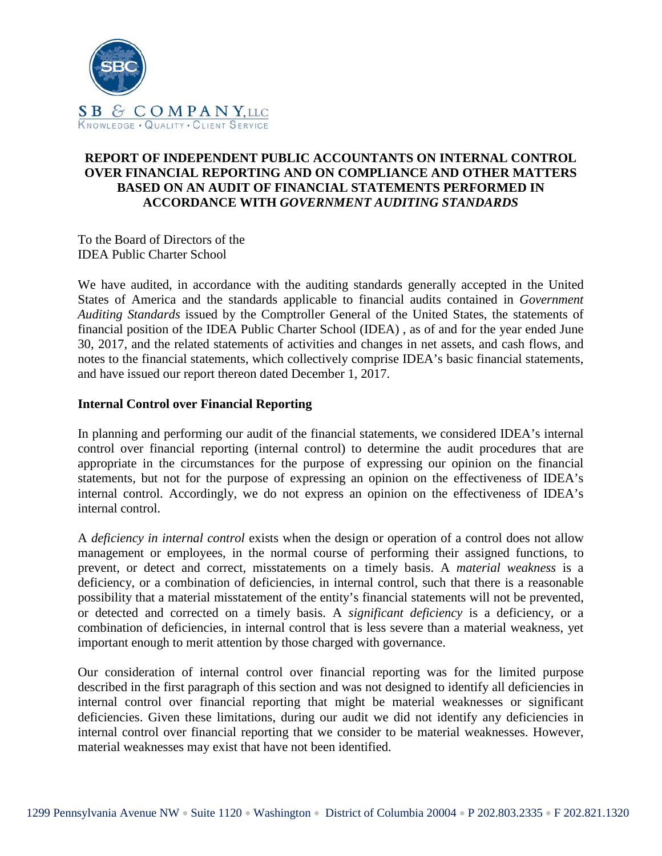

## **REPORT OF INDEPENDENT PUBLIC ACCOUNTANTS ON INTERNAL CONTROL OVER FINANCIAL REPORTING AND ON COMPLIANCE AND OTHER MATTERS BASED ON AN AUDIT OF FINANCIAL STATEMENTS PERFORMED IN ACCORDANCE WITH** *GOVERNMENT AUDITING STANDARDS*

To the Board of Directors of the IDEA Public Charter School

We have audited, in accordance with the auditing standards generally accepted in the United States of America and the standards applicable to financial audits contained in *Government Auditing Standards* issued by the Comptroller General of the United States, the statements of financial position of the IDEA Public Charter School (IDEA) , as of and for the year ended June 30, 2017, and the related statements of activities and changes in net assets, and cash flows, and notes to the financial statements, which collectively comprise IDEA's basic financial statements, and have issued our report thereon dated December 1, 2017.

### **Internal Control over Financial Reporting**

In planning and performing our audit of the financial statements, we considered IDEA's internal control over financial reporting (internal control) to determine the audit procedures that are appropriate in the circumstances for the purpose of expressing our opinion on the financial statements, but not for the purpose of expressing an opinion on the effectiveness of IDEA's internal control. Accordingly, we do not express an opinion on the effectiveness of IDEA's internal control.

A *deficiency in internal control* exists when the design or operation of a control does not allow management or employees, in the normal course of performing their assigned functions, to prevent, or detect and correct, misstatements on a timely basis. A *material weakness* is a deficiency, or a combination of deficiencies, in internal control, such that there is a reasonable possibility that a material misstatement of the entity's financial statements will not be prevented, or detected and corrected on a timely basis. A *significant deficiency* is a deficiency, or a combination of deficiencies, in internal control that is less severe than a material weakness, yet important enough to merit attention by those charged with governance.

Our consideration of internal control over financial reporting was for the limited purpose described in the first paragraph of this section and was not designed to identify all deficiencies in internal control over financial reporting that might be material weaknesses or significant deficiencies. Given these limitations, during our audit we did not identify any deficiencies in internal control over financial reporting that we consider to be material weaknesses. However, material weaknesses may exist that have not been identified.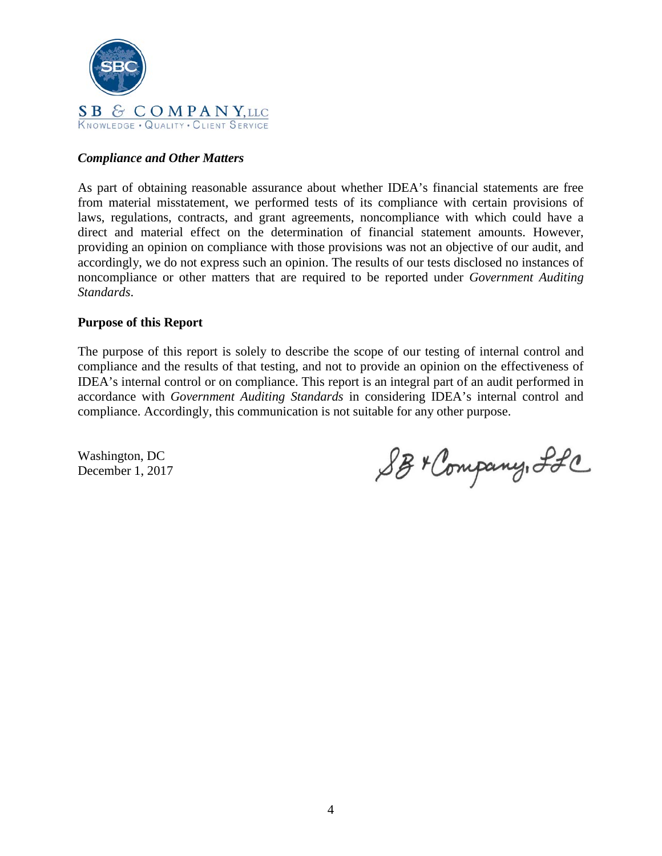

### *Compliance and Other Matters*

As part of obtaining reasonable assurance about whether IDEA's financial statements are free from material misstatement, we performed tests of its compliance with certain provisions of laws, regulations, contracts, and grant agreements, noncompliance with which could have a direct and material effect on the determination of financial statement amounts. However, providing an opinion on compliance with those provisions was not an objective of our audit, and accordingly, we do not express such an opinion. The results of our tests disclosed no instances of noncompliance or other matters that are required to be reported under *Government Auditing Standards*.

#### **Purpose of this Report**

The purpose of this report is solely to describe the scope of our testing of internal control and compliance and the results of that testing, and not to provide an opinion on the effectiveness of IDEA's internal control or on compliance. This report is an integral part of an audit performed in accordance with *Government Auditing Standards* in considering IDEA's internal control and compliance. Accordingly, this communication is not suitable for any other purpose.

Washington, DC December 1, 2017

SB+ Company, Ifc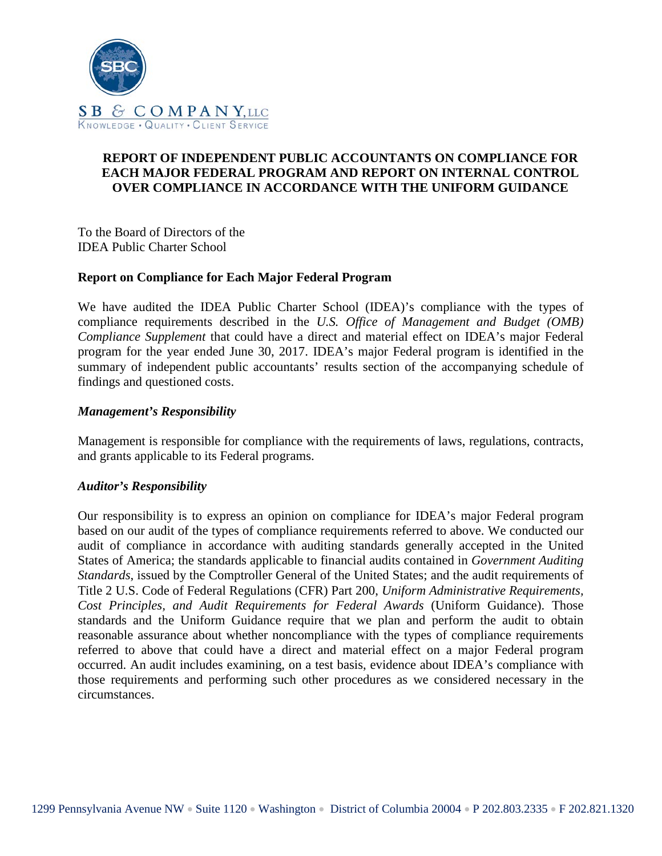

## **REPORT OF INDEPENDENT PUBLIC ACCOUNTANTS ON COMPLIANCE FOR EACH MAJOR FEDERAL PROGRAM AND REPORT ON INTERNAL CONTROL OVER COMPLIANCE IN ACCORDANCE WITH THE UNIFORM GUIDANCE**

To the Board of Directors of the IDEA Public Charter School

#### **Report on Compliance for Each Major Federal Program**

We have audited the IDEA Public Charter School (IDEA)'s compliance with the types of compliance requirements described in the *U.S. Office of Management and Budget (OMB) Compliance Supplement* that could have a direct and material effect on IDEA's major Federal program for the year ended June 30, 2017. IDEA's major Federal program is identified in the summary of independent public accountants' results section of the accompanying schedule of findings and questioned costs.

#### *Management's Responsibility*

Management is responsible for compliance with the requirements of laws, regulations, contracts, and grants applicable to its Federal programs.

#### *Auditor's Responsibility*

Our responsibility is to express an opinion on compliance for IDEA's major Federal program based on our audit of the types of compliance requirements referred to above. We conducted our audit of compliance in accordance with auditing standards generally accepted in the United States of America; the standards applicable to financial audits contained in *Government Auditing Standards*, issued by the Comptroller General of the United States; and the audit requirements of Title 2 U.S. Code of Federal Regulations (CFR) Part 200, *Uniform Administrative Requirements, Cost Principles, and Audit Requirements for Federal Awards* (Uniform Guidance). Those standards and the Uniform Guidance require that we plan and perform the audit to obtain reasonable assurance about whether noncompliance with the types of compliance requirements referred to above that could have a direct and material effect on a major Federal program occurred. An audit includes examining, on a test basis, evidence about IDEA's compliance with those requirements and performing such other procedures as we considered necessary in the circumstances.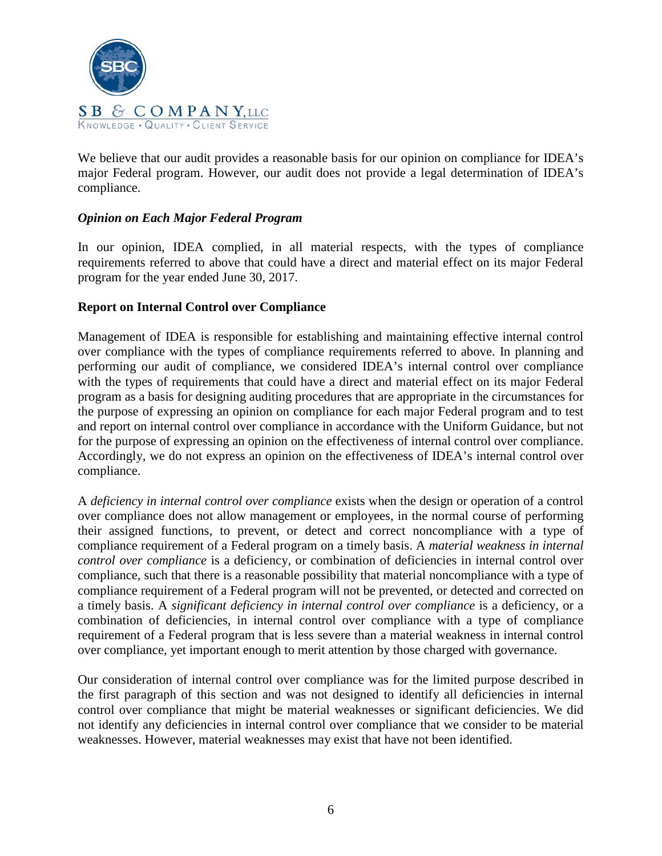

We believe that our audit provides a reasonable basis for our opinion on compliance for IDEA's major Federal program. However, our audit does not provide a legal determination of IDEA's compliance.

## *Opinion on Each Major Federal Program*

In our opinion, IDEA complied, in all material respects, with the types of compliance requirements referred to above that could have a direct and material effect on its major Federal program for the year ended June 30, 2017.

#### **Report on Internal Control over Compliance**

Management of IDEA is responsible for establishing and maintaining effective internal control over compliance with the types of compliance requirements referred to above. In planning and performing our audit of compliance, we considered IDEA's internal control over compliance with the types of requirements that could have a direct and material effect on its major Federal program as a basis for designing auditing procedures that are appropriate in the circumstances for the purpose of expressing an opinion on compliance for each major Federal program and to test and report on internal control over compliance in accordance with the Uniform Guidance, but not for the purpose of expressing an opinion on the effectiveness of internal control over compliance. Accordingly, we do not express an opinion on the effectiveness of IDEA's internal control over compliance.

A *deficiency in internal control over compliance* exists when the design or operation of a control over compliance does not allow management or employees, in the normal course of performing their assigned functions, to prevent, or detect and correct noncompliance with a type of compliance requirement of a Federal program on a timely basis. A *material weakness in internal control over compliance* is a deficiency, or combination of deficiencies in internal control over compliance, such that there is a reasonable possibility that material noncompliance with a type of compliance requirement of a Federal program will not be prevented, or detected and corrected on a timely basis. A *significant deficiency in internal control over compliance* is a deficiency, or a combination of deficiencies, in internal control over compliance with a type of compliance requirement of a Federal program that is less severe than a material weakness in internal control over compliance, yet important enough to merit attention by those charged with governance.

Our consideration of internal control over compliance was for the limited purpose described in the first paragraph of this section and was not designed to identify all deficiencies in internal control over compliance that might be material weaknesses or significant deficiencies. We did not identify any deficiencies in internal control over compliance that we consider to be material weaknesses. However, material weaknesses may exist that have not been identified.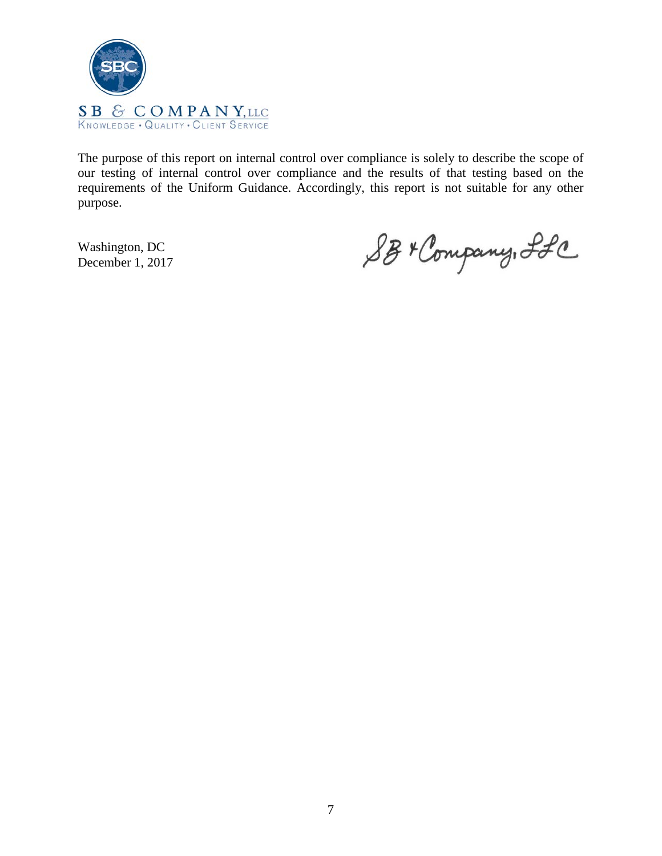

The purpose of this report on internal control over compliance is solely to describe the scope of our testing of internal control over compliance and the results of that testing based on the requirements of the Uniform Guidance. Accordingly, this report is not suitable for any other purpose.

Washington, DC December 1, 2017

SB+ Company, LLC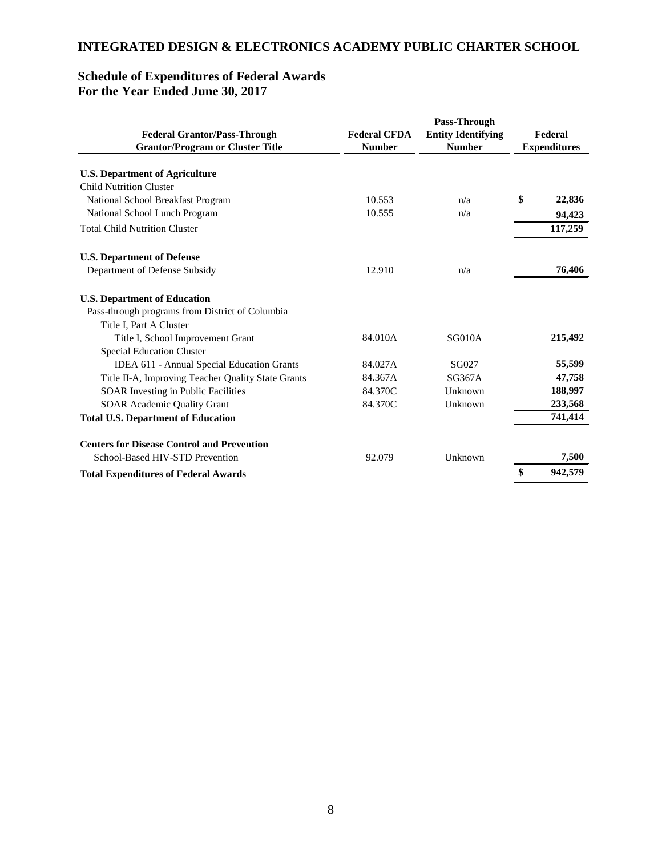#### **Schedule of Expenditures of Federal Awards For the Year Ended June 30, 2017**

| <b>Federal Grantor/Pass-Through</b>                                     | <b>Federal CFDA</b> | <b>Entity Identifying</b> |                     | Federal |
|-------------------------------------------------------------------------|---------------------|---------------------------|---------------------|---------|
| <b>Grantor/Program or Cluster Title</b>                                 | <b>Number</b>       | <b>Number</b>             | <b>Expenditures</b> |         |
| <b>U.S. Department of Agriculture</b><br><b>Child Nutrition Cluster</b> |                     |                           |                     |         |
| National School Breakfast Program                                       | 10.553              | n/a                       | \$                  | 22,836  |
| National School Lunch Program                                           | 10.555              | n/a                       |                     |         |
|                                                                         |                     |                           |                     | 94,423  |
| <b>Total Child Nutrition Cluster</b>                                    |                     |                           |                     | 117,259 |
| <b>U.S. Department of Defense</b>                                       |                     |                           |                     |         |
| Department of Defense Subsidy                                           | 12.910              | n/a                       |                     | 76,406  |
| <b>U.S. Department of Education</b>                                     |                     |                           |                     |         |
| Pass-through programs from District of Columbia                         |                     |                           |                     |         |
| Title I, Part A Cluster                                                 |                     |                           |                     |         |
| Title I, School Improvement Grant                                       | 84.010A             | <b>SG010A</b>             |                     | 215,492 |
| <b>Special Education Cluster</b>                                        |                     |                           |                     |         |
| IDEA 611 - Annual Special Education Grants                              | 84.027A             | SG027                     |                     | 55,599  |
| Title II-A, Improving Teacher Quality State Grants                      | 84.367A             | SG367A                    |                     | 47,758  |
| <b>SOAR</b> Investing in Public Facilities                              | 84.370C             | Unknown                   |                     | 188,997 |
| <b>SOAR Academic Quality Grant</b>                                      | 84.370C             | Unknown                   |                     | 233,568 |
| <b>Total U.S. Department of Education</b>                               |                     |                           |                     | 741,414 |
| <b>Centers for Disease Control and Prevention</b>                       |                     |                           |                     |         |
| School-Based HIV-STD Prevention                                         | 92.079              | Unknown                   |                     | 7,500   |
| <b>Total Expenditures of Federal Awards</b>                             |                     |                           | \$                  | 942,579 |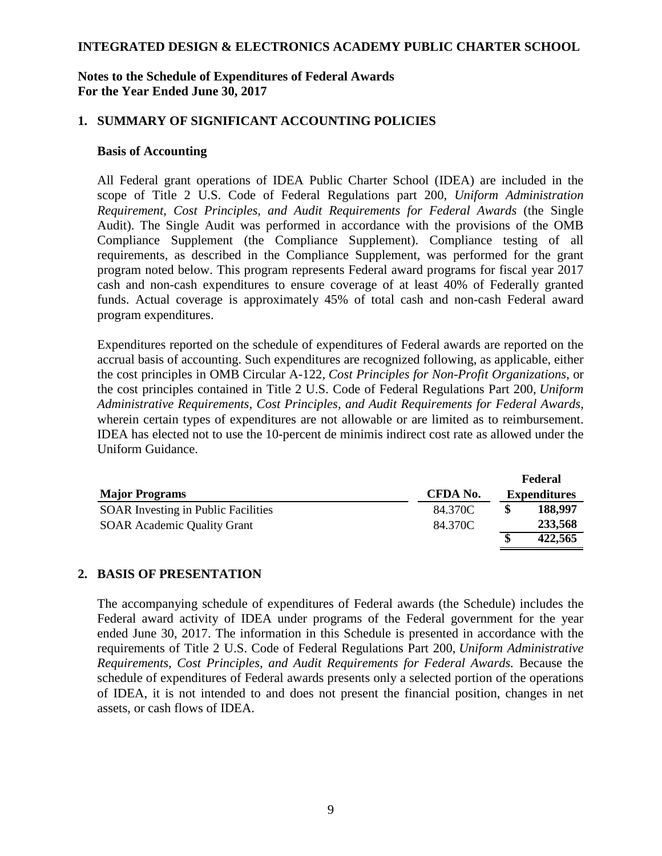#### **Notes to the Schedule of Expenditures of Federal Awards For the Year Ended June 30, 2017**

### **1. SUMMARY OF SIGNIFICANT ACCOUNTING POLICIES**

#### **Basis of Accounting**

All Federal grant operations of IDEA Public Charter School (IDEA) are included in the scope of Title 2 U.S. Code of Federal Regulations part 200, *Uniform Administration Requirement, Cost Principles, and Audit Requirements for Federal Awards* (the Single Audit). The Single Audit was performed in accordance with the provisions of the OMB Compliance Supplement (the Compliance Supplement). Compliance testing of all requirements, as described in the Compliance Supplement, was performed for the grant program noted below. This program represents Federal award programs for fiscal year 2017 cash and non-cash expenditures to ensure coverage of at least 40% of Federally granted funds. Actual coverage is approximately 45% of total cash and non-cash Federal award program expenditures.

Expenditures reported on the schedule of expenditures of Federal awards are reported on the accrual basis of accounting. Such expenditures are recognized following, as applicable, either the cost principles in OMB Circular A-122, *Cost Principles for Non-Profit Organizations*, or the cost principles contained in Title 2 U.S. Code of Federal Regulations Part 200, *Uniform Administrative Requirements, Cost Principles, and Audit Requirements for Federal Awards*, wherein certain types of expenditures are not allowable or are limited as to reimbursement. IDEA has elected not to use the 10-percent de minimis indirect cost rate as allowed under the Uniform Guidance.

|                                            |          | Federal             |
|--------------------------------------------|----------|---------------------|
| <b>Major Programs</b>                      | CFDA No. | <b>Expenditures</b> |
| <b>SOAR</b> Investing in Public Facilities | 84.370C  | 188,997             |
| <b>SOAR Academic Quality Grant</b>         | 84.370C  | 233,568             |
|                                            |          | 422,565             |

## **2. BASIS OF PRESENTATION**

The accompanying schedule of expenditures of Federal awards (the Schedule) includes the Federal award activity of IDEA under programs of the Federal government for the year ended June 30, 2017. The information in this Schedule is presented in accordance with the requirements of Title 2 U.S. Code of Federal Regulations Part 200, *Uniform Administrative Requirements, Cost Principles, and Audit Requirements for Federal Awards.* Because the schedule of expenditures of Federal awards presents only a selected portion of the operations of IDEA, it is not intended to and does not present the financial position, changes in net assets, or cash flows of IDEA.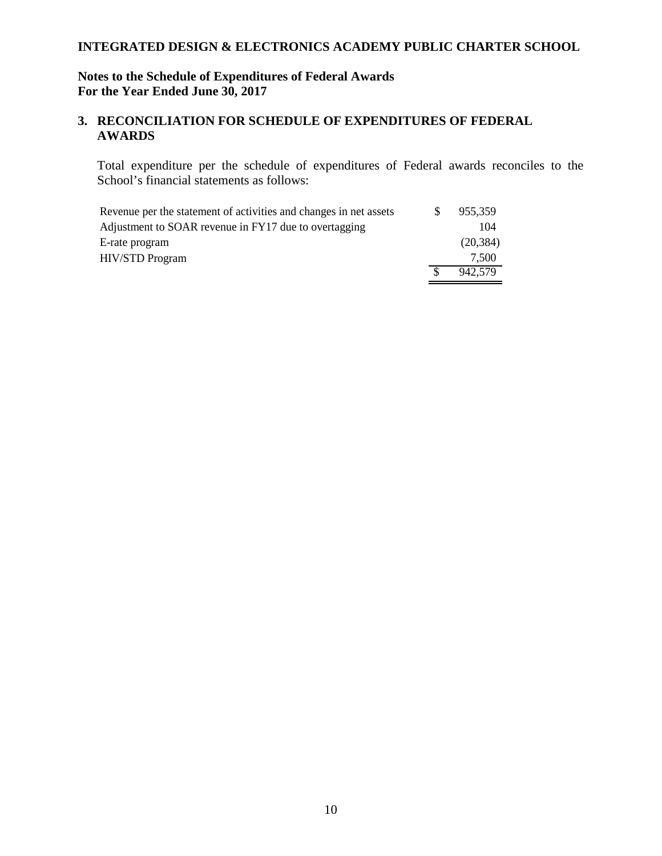### **Notes to the Schedule of Expenditures of Federal Awards For the Year Ended June 30, 2017**

### **3. RECONCILIATION FOR SCHEDULE OF EXPENDITURES OF FEDERAL AWARDS**

Total expenditure per the schedule of expenditures of Federal awards reconciles to the School's financial statements as follows:

| Revenue per the statement of activities and changes in net assets | 955.359   |
|-------------------------------------------------------------------|-----------|
| Adjustment to SOAR revenue in FY17 due to overtagging             | 104       |
| E-rate program                                                    | (20, 384) |
| <b>HIV/STD Program</b>                                            | 7.500     |
|                                                                   | 942.579   |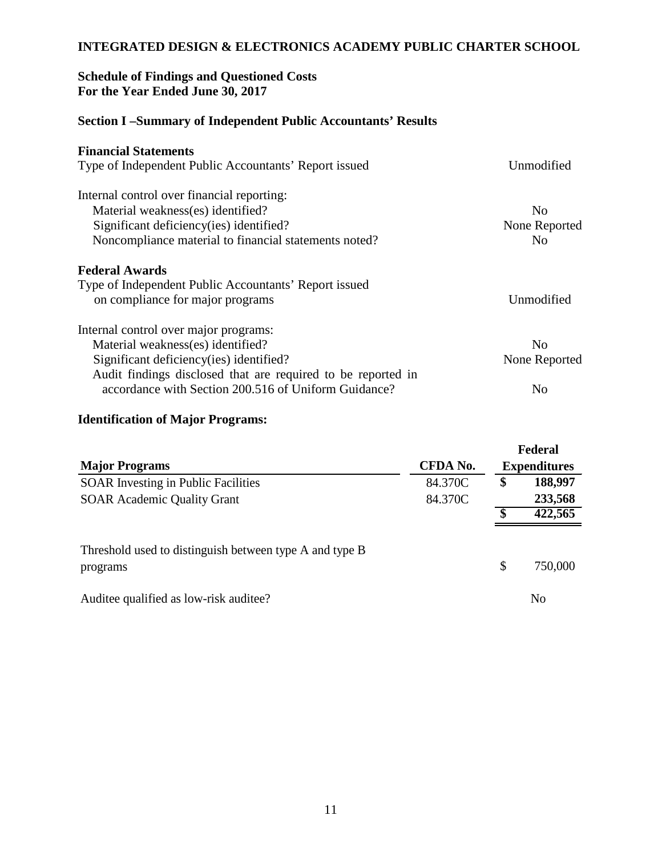## **Schedule of Findings and Questioned Costs For the Year Ended June 30, 2017**

## **Section I –Summary of Independent Public Accountants' Results**

## **Financial Statements**

| Type of Independent Public Accountants' Report issued        | Unmodified     |  |  |
|--------------------------------------------------------------|----------------|--|--|
| Internal control over financial reporting:                   |                |  |  |
| Material weakness(es) identified?                            | No             |  |  |
| Significant deficiency(ies) identified?                      | None Reported  |  |  |
| Noncompliance material to financial statements noted?        | N <sub>0</sub> |  |  |
| <b>Federal Awards</b>                                        |                |  |  |
| Type of Independent Public Accountants' Report issued        |                |  |  |
| on compliance for major programs                             | Unmodified     |  |  |
| Internal control over major programs:                        |                |  |  |
| Material weakness(es) identified?                            | N <sub>0</sub> |  |  |
| Significant deficiency(ies) identified?                      | None Reported  |  |  |
| Audit findings disclosed that are required to be reported in |                |  |  |
| accordance with Section 200.516 of Uniform Guidance?         | N <sub>0</sub> |  |  |
|                                                              |                |  |  |

## **Identification of Major Programs:**

|                                                                     |          | Federal             |                |
|---------------------------------------------------------------------|----------|---------------------|----------------|
| <b>Major Programs</b>                                               | CFDA No. | <b>Expenditures</b> |                |
| <b>SOAR</b> Investing in Public Facilities                          | 84.370C  | \$                  | 188,997        |
| <b>SOAR Academic Quality Grant</b>                                  | 84.370C  |                     | 233,568        |
|                                                                     |          | ₾                   | 422,565        |
| Threshold used to distinguish between type A and type B<br>programs |          | \$                  | 750,000        |
| Auditee qualified as low-risk auditee?                              |          |                     | N <sub>0</sub> |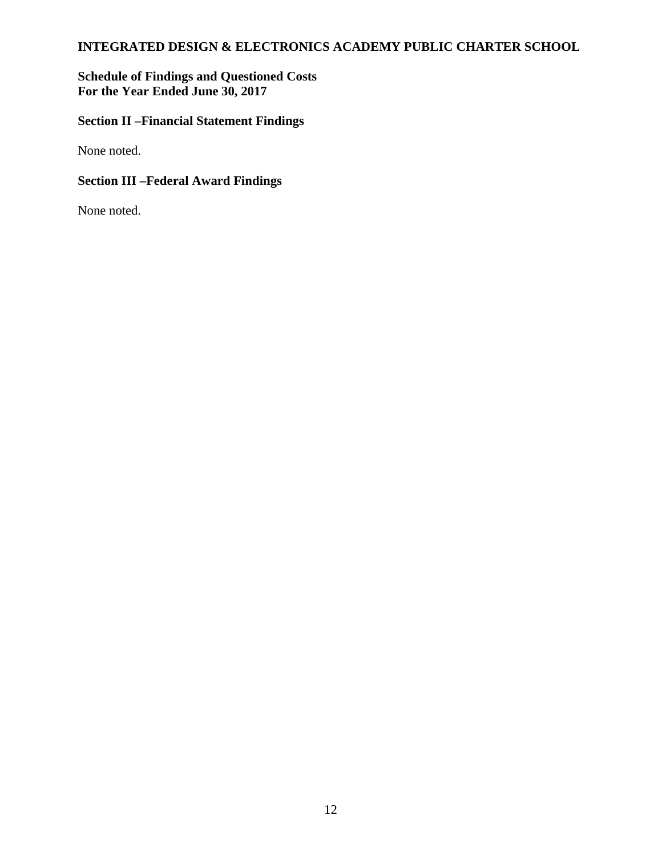## **Schedule of Findings and Questioned Costs For the Year Ended June 30, 2017**

## **Section II –Financial Statement Findings**

None noted.

## **Section III –Federal Award Findings**

None noted.